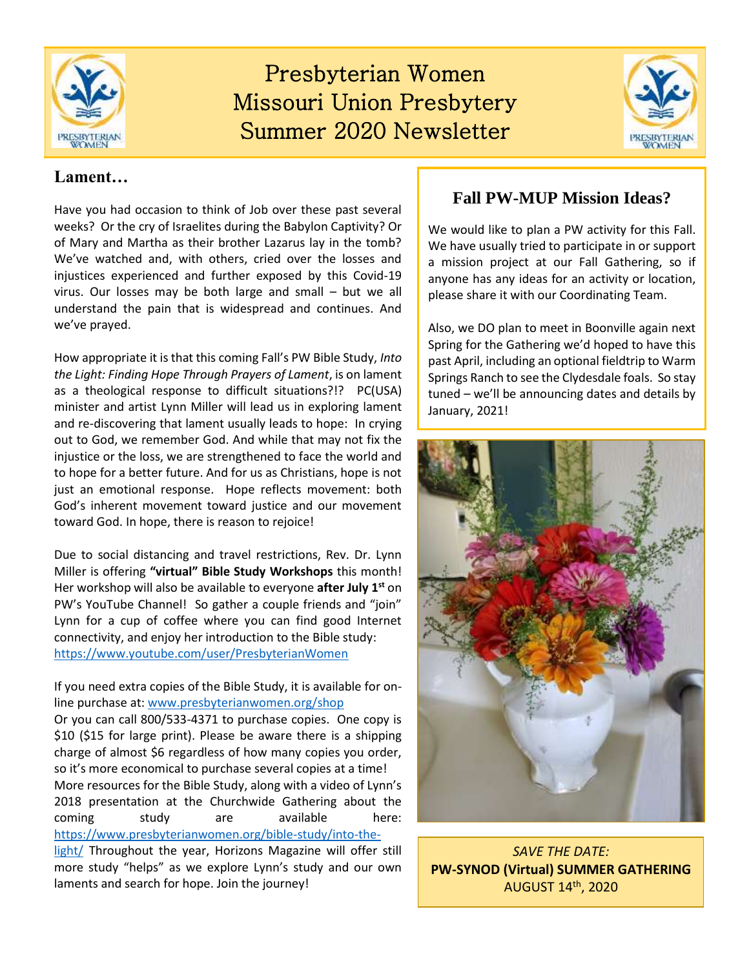

## Presbyterian Women Missouri Union Presbytery Summer 2020 Newsletter



### **Lament…**

Have you had occasion to think of Job over these past several weeks? Or the cry of Israelites during the Babylon Captivity? Or of Mary and Martha as their brother Lazarus lay in the tomb? We've watched and, with others, cried over the losses and injustices experienced and further exposed by this Covid-19 virus. Our losses may be both large and small – but we all understand the pain that is widespread and continues. And we've prayed.

How appropriate it is that this coming Fall's PW Bible Study, *Into the Light: Finding Hope Through Prayers of Lament*, is on lament as a theological response to difficult situations?!? PC(USA) minister and artist Lynn Miller will lead us in exploring lament and re-discovering that lament usually leads to hope: In crying out to God, we remember God. And while that may not fix the injustice or the loss, we are strengthened to face the world and to hope for a better future. And for us as Christians, hope is not just an emotional response. Hope reflects movement: both God's inherent movement toward justice and our movement toward God. In hope, there is reason to rejoice!

Due to social distancing and travel restrictions, Rev. Dr. Lynn Miller is offering **"virtual" Bible Study Workshops** this month! Her workshop will also be available to everyone **after July 1st** on PW's YouTube Channel! So gather a couple friends and "join" Lynn for a cup of coffee where you can find good Internet connectivity, and enjoy her introduction to the Bible study: <https://www.youtube.com/user/PresbyterianWomen>

If you need extra copies of the Bible Study, it is available for online purchase at: [www.presbyterianwomen.org/shop](http://www.presbyterianwomen.org/shop) Or you can call 800/533-4371 to purchase copies. One copy is \$10 (\$15 for large print). Please be aware there is a shipping charge of almost \$6 regardless of how many copies you order, so it's more economical to purchase several copies at a time! More resources for the Bible Study, along with a video of Lynn's 2018 presentation at the Churchwide Gathering about the coming study are available here: [https://www.presbyterianwomen.org/bible-study/into-the-](https://www.presbyterianwomen.org/bible-study/into-the-light/)

[light/](https://www.presbyterianwomen.org/bible-study/into-the-light/) Throughout the year, Horizons Magazine will offer still more study "helps" as we explore Lynn's study and our own laments and search for hope. Join the journey!

## **Fall PW-MUP Mission Ideas?**

We would like to plan a PW activity for this Fall. We have usually tried to participate in or support a mission project at our Fall Gathering, so if anyone has any ideas for an activity or location, please share it with our Coordinating Team.

Also, we DO plan to meet in Boonville again next Spring for the Gathering we'd hoped to have this past April, including an optional fieldtrip to Warm Springs Ranch to see the Clydesdale foals. So stay tuned – we'll be announcing dates and details by January, 2021!



*SAVE THE DATE:* **PW-SYNOD (Virtual) SUMMER GATHERING**  AUGUST 14th, 2020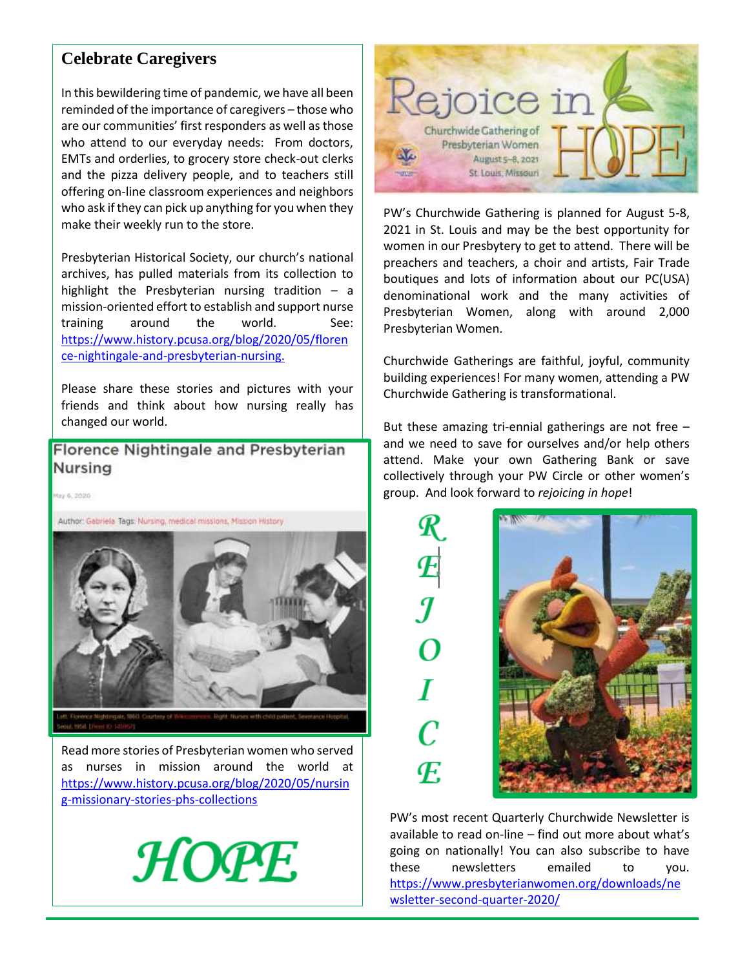### **Celebrate Caregivers**

In this bewildering time of pandemic, we have all been reminded of the importance of caregivers – those who are our communities' first responders as well as those who attend to our everyday needs: From doctors, EMTs and orderlies, to grocery store check-out clerks and the pizza delivery people, and to teachers still offering on-line classroom experiences and neighbors who ask if they can pick up anything for you when they make their weekly run to the store.

Presbyterian Historical Society, our church's national archives, has pulled materials from its collection to highlight the Presbyterian nursing tradition  $-$  a mission-oriented effort to establish and support nurse training around the world. See: [https://www.history.pcusa.org/blog/2020/05/floren](https://www.history.pcusa.org/blog/2020/05/florence-nightingale-and-presbyterian-nursing) [ce-nightingale-and-presbyterian-nursing.](https://www.history.pcusa.org/blog/2020/05/florence-nightingale-and-presbyterian-nursing)

Please share these stories and pictures with your friends and think about how nursing really has changed our world.

Florence Nightingale and Presbyterian Nursing

0000 S. 2010

Author: Gabriela Tags: Nursing, medical missions, Mission History



Read more stories of Presbyterian women who served as nurses in mission around the world at [https://www.history.pcusa.org/blog/2020/05/nursin](https://www.history.pcusa.org/blog/2020/05/nursing-missionary-stories-phs-collections) [g-missionary-stories-phs-collections](https://www.history.pcusa.org/blog/2020/05/nursing-missionary-stories-phs-collections)





PW's Churchwide Gathering is planned for August 5-8, 2021 in St. Louis and may be the best opportunity for women in our Presbytery to get to attend. There will be preachers and teachers, a choir and artists, Fair Trade boutiques and lots of information about our PC(USA) denominational work and the many activities of Presbyterian Women, along with around 2,000 Presbyterian Women.

Churchwide Gatherings are faithful, joyful, community building experiences! For many women, attending a PW Churchwide Gathering is transformational.

But these amazing tri-ennial gatherings are not free – and we need to save for ourselves and/or help others attend. Make your own Gathering Bank or save collectively through your PW Circle or other women's group. And look forward to *rejoicing in hope*!

> T C F.



PW's most recent Quarterly Churchwide Newsletter is available to read on-line – find out more about what's going on nationally! You can also subscribe to have these newsletters emailed to you. [https://www.presbyterianwomen.org/downloads/ne](https://www.presbyterianwomen.org/downloads/newsletter-second-quarter-2020/) [wsletter-second-quarter-2020/](https://www.presbyterianwomen.org/downloads/newsletter-second-quarter-2020/)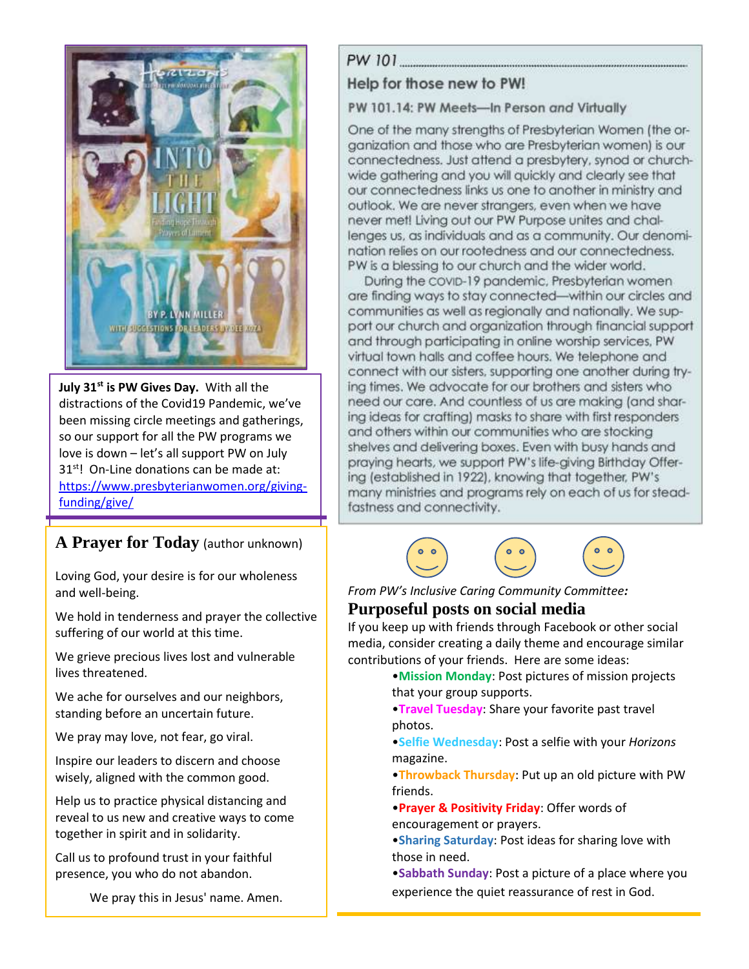

**July 31st is PW Gives Day.** With all the distractions of the Covid19 Pandemic, we've been missing circle meetings and gatherings, so our support for all the PW programs we love is down – let's all support PW on July 31<sup>st</sup>! On-Line donations can be made at: [https://www.presbyterianwomen.org/giving](https://www.presbyterianwomen.org/giving-funding/give/)[funding/give/](https://www.presbyterianwomen.org/giving-funding/give/)

# **A Prayer for Today** (author unknown)

Loving God, your desire is for our wholeness and well-being.

We hold in tenderness and prayer the collective suffering of our world at this time.

We grieve precious lives lost and vulnerable lives threatened.

We ache for ourselves and our neighbors, standing before an uncertain future.

We pray may love, not fear, go viral.

Inspire our leaders to discern and choose wisely, aligned with the common good.

Help us to practice physical distancing and reveal to us new and creative ways to come together in spirit and in solidarity.

Call us to profound trust in your faithful presence, you who do not abandon.

We pray this in Jesus' name. Amen.

### 

### Help for those new to PW!

PW 101.14: PW Meets-In Person and Virtually

One of the many strengths of Presbyterian Women (the organization and those who are Presbyterian women) is our connectedness. Just attend a presbytery, synod or churchwide gathering and you will quickly and clearly see that our connectedness links us one to another in ministry and outlook. We are never strangers, even when we have never met! Living out our PW Purpose unites and challenges us, as individuals and as a community. Our denomination relies on our rootedness and our connectedness. PW is a blessing to our church and the wider world.

During the COVID-19 pandemic, Presbyterian women are finding ways to stay connected-within our circles and communities as well as regionally and nationally. We support our church and organization through financial support and through participating in online worship services, PW virtual town halls and coffee hours. We telephone and connect with our sisters, supporting one another during trying times. We advocate for our brothers and sisters who need our care. And countless of us are making (and sharing ideas for crafting) masks to share with first responders and others within our communities who are stocking shelves and delivering boxes. Even with busy hands and praying hearts, we support PW's life-giving Birthday Offering (established in 1922), knowing that together, PW's many ministries and programs rely on each of us for steadfastness and connectivity.



*From PW's Inclusive Caring Community Committee:* **Purposeful posts on social media**

If you keep up with friends through Facebook or other social media, consider creating a daily theme and encourage similar contributions of your friends. Here are some ideas:

- •**Mission Monday**: Post pictures of mission projects that your group supports.
- •**Travel Tuesday**: Share your favorite past travel photos.
- •**Selfie Wednesday**: Post a selfie with your *Horizons*  magazine.
- •**Throwback Thursday**: Put up an old picture with PW friends.
- •**Prayer & Positivity Friday**: Offer words of encouragement or prayers.
- •**Sharing Saturday**: Post ideas for sharing love with those in need.
- •**Sabbath Sunday**: Post a picture of a place where you experience the quiet reassurance of rest in God.